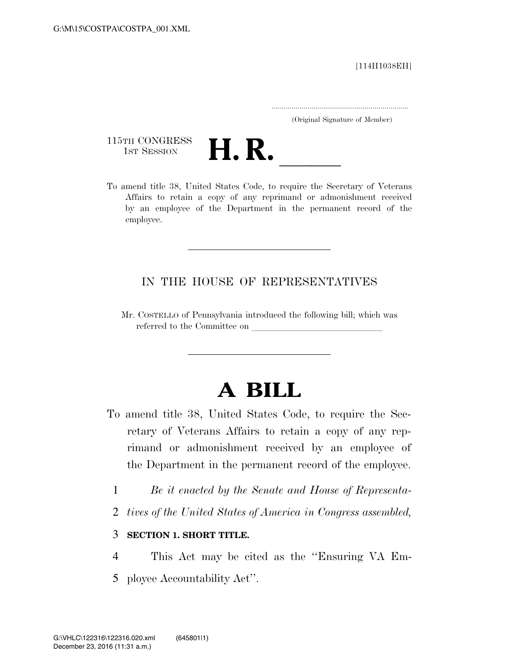[114H1038EH]

.....................................................................

(Original Signature of Member)

115TH CONGRESS 1st Session **H. R.** 

To amend title 38, United States Code, to require the Secretary of Veterans Affairs to retain a copy of any reprimand or admonishment received by an employee of the Department in the permanent record of the employee.

## IN THE HOUSE OF REPRESENTATIVES

Mr. COSTELLO of Pennsylvania introduced the following bill; which was referred to the Committee on

# **A BILL**

- To amend title 38, United States Code, to require the Secretary of Veterans Affairs to retain a copy of any reprimand or admonishment received by an employee of the Department in the permanent record of the employee.
	- 1 *Be it enacted by the Senate and House of Representa-*
	- 2 *tives of the United States of America in Congress assembled,*

#### 3 **SECTION 1. SHORT TITLE.**

- 4 This Act may be cited as the ''Ensuring VA Em-
- 5 ployee Accountability Act''.